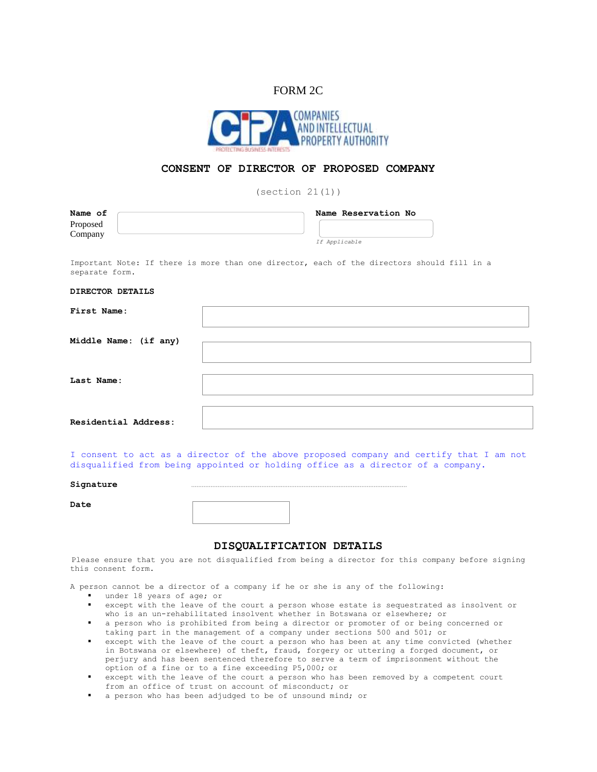## FORM 2C



## **CONSENT OF DIRECTOR OF PROPOSED COMPANY**

 $(\text{section } 21(1))$ 

| Name of<br>Proposed<br>Company                                                                               | Name Reservation No<br>If Applicable |
|--------------------------------------------------------------------------------------------------------------|--------------------------------------|
| Important Note: If there is more than one director, each of the directors should fill in a<br>separate form. |                                      |
| DIRECTOR DETAILS                                                                                             |                                      |
| First Name:                                                                                                  |                                      |
| Middle Name: (if any)                                                                                        |                                      |
| Last Name:                                                                                                   |                                      |

**Residential Address:**

I consent to act as a director of the above proposed company and certify that I am not disqualified from being appointed or holding office as a director of a company.

## **Signature** ……………………………………………………………………………………………………………

**Date**

## **DISQUALIFICATION DETAILS**

Please ensure that you are not disqualified from being a director for this company before signing this consent form.

A person cannot be a director of a company if he or she is any of the following:

- under 18 years of age; or
- except with the leave of the court a person whose estate is sequestrated as insolvent or who is an un-rehabilitated insolvent whether in Botswana or elsewhere; or
- a person who is prohibited from being a director or promoter of or being concerned or taking part in the management of a company under sections 500 and 501; or
- except with the leave of the court a person who has been at any time convicted (whether in Botswana or elsewhere) of theft, fraud, forgery or uttering a forged document, or perjury and has been sentenced therefore to serve a term of imprisonment without the option of a fine or to a fine exceeding P5,000; or
- except with the leave of the court a person who has been removed by a competent court from an office of trust on account of misconduct; or
- a person who has been adjudged to be of unsound mind; or